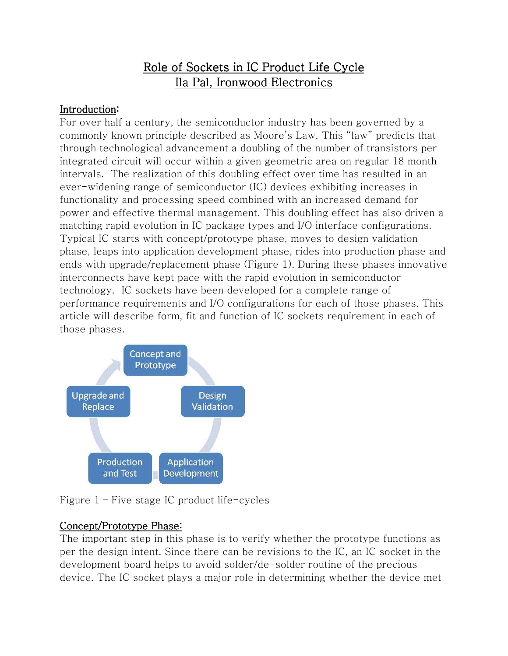# Role of Sockets in IC Product Life Cycle Ila Pal, Ironwood Electronics

#### Introduction:

For over half a century, the semiconductor industry has been governed by a commonly known principle described as Moore's Law. This "law" predicts that through technological advancement a doubling of the number of transistors per integrated circuit will occur within a given geometric area on regular 18 month intervals. The realization of this doubling effect over time has resulted in an ever-widening range of semiconductor (IC) devices exhibiting increases in functionality and processing speed combined with an increased demand for power and effective thermal management. This doubling effect has also driven a matching rapid evolution in IC package types and I/O interface configurations. Typical IC starts with concept/prototype phase, moves to design validation phase, leaps into application development phase, rides into production phase and ends with upgrade/replacement phase (Figure 1). During these phases innovative interconnects have kept pace with the rapid evolution in semiconductor technology. IC sockets have been developed for a complete range of performance requirements and I/O configurations for each of those phases. This article will describe form, fit and function of IC sockets requirement in each of those phases.





## Concept/Prototype Phase:

The important step in this phase is to verify whether the prototype functions as per the design intent. Since there can be revisions to the IC, an IC socket in the development board helps to avoid solder/de-solder routine of the precious device. The IC socket plays a major role in determining whether the device met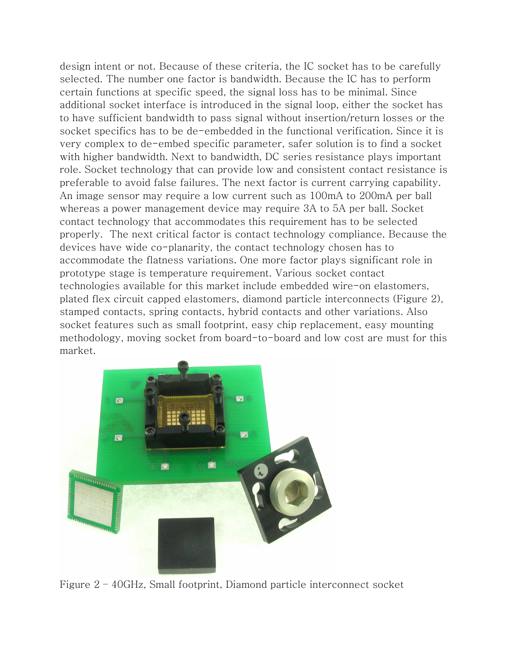design intent or not. Because of these criteria, the IC socket has to be carefully selected. The number one factor is bandwidth. Because the IC has to perform certain functions at specific speed, the signal loss has to be minimal. Since additional socket interface is introduced in the signal loop, either the socket has to have sufficient bandwidth to pass signal without insertion/return losses or the socket specifics has to be de-embedded in the functional verification. Since it is very complex to de-embed specific parameter, safer solution is to find a socket with higher bandwidth. Next to bandwidth, DC series resistance plays important role. Socket technology that can provide low and consistent contact resistance is preferable to avoid false failures. The next factor is current carrying capability. An image sensor may require a low current such as 100mA to 200mA per ball whereas a power management device may require 3A to 5A per ball. Socket contact technology that accommodates this requirement has to be selected properly. The next critical factor is contact technology compliance. Because the devices have wide co-planarity, the contact technology chosen has to accommodate the flatness variations. One more factor plays significant role in prototype stage is temperature requirement. Various socket contact technologies available for this market include embedded wire-on elastomers, plated flex circuit capped elastomers, diamond particle interconnects (Figure 2), stamped contacts, spring contacts, hybrid contacts and other variations. Also socket features such as small footprint, easy chip replacement, easy mounting methodology, moving socket from board-to-board and low cost are must for this market.



Figure 2 – 40GHz, Small footprint, Diamond particle interconnect socket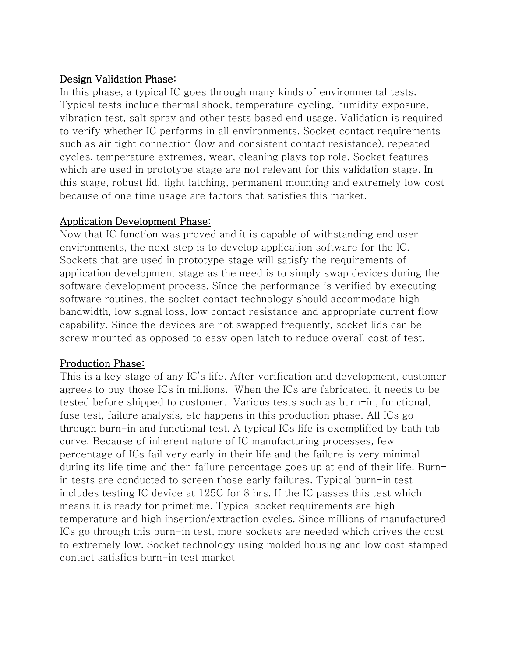#### Design Validation Phase:

In this phase, a typical IC goes through many kinds of environmental tests. Typical tests include thermal shock, temperature cycling, humidity exposure, vibration test, salt spray and other tests based end usage. Validation is required to verify whether IC performs in all environments. Socket contact requirements such as air tight connection (low and consistent contact resistance), repeated cycles, temperature extremes, wear, cleaning plays top role. Socket features which are used in prototype stage are not relevant for this validation stage. In this stage, robust lid, tight latching, permanent mounting and extremely low cost because of one time usage are factors that satisfies this market.

#### Application Development Phase:

Now that IC function was proved and it is capable of withstanding end user environments, the next step is to develop application software for the IC. Sockets that are used in prototype stage will satisfy the requirements of application development stage as the need is to simply swap devices during the software development process. Since the performance is verified by executing software routines, the socket contact technology should accommodate high bandwidth, low signal loss, low contact resistance and appropriate current flow capability. Since the devices are not swapped frequently, socket lids can be screw mounted as opposed to easy open latch to reduce overall cost of test.

## Production Phase:

This is a key stage of any IC's life. After verification and development, customer agrees to buy those ICs in millions. When the ICs are fabricated, it needs to be tested before shipped to customer. Various tests such as burn-in, functional, fuse test, failure analysis, etc happens in this production phase. All ICs go through burn-in and functional test. A typical ICs life is exemplified by bath tub curve. Because of inherent nature of IC manufacturing processes, few percentage of ICs fail very early in their life and the failure is very minimal during its life time and then failure percentage goes up at end of their life. Burnin tests are conducted to screen those early failures. Typical burn-in test includes testing IC device at 125C for 8 hrs. If the IC passes this test which means it is ready for primetime. Typical socket requirements are high temperature and high insertion/extraction cycles. Since millions of manufactured ICs go through this burn-in test, more sockets are needed which drives the cost to extremely low. Socket technology using molded housing and low cost stamped contact satisfies burn-in test market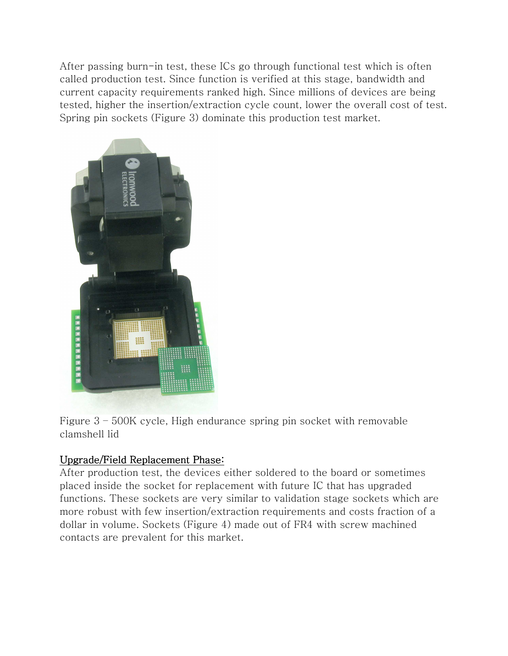After passing burn-in test, these ICs go through functional test which is often called production test. Since function is verified at this stage, bandwidth and current capacity requirements ranked high. Since millions of devices are being tested, higher the insertion/extraction cycle count, lower the overall cost of test. Spring pin sockets (Figure 3) dominate this production test market.



Figure 3 – 500K cycle, High endurance spring pin socket with removable clamshell lid

#### Upgrade/Field Replacement Phase:

After production test, the devices either soldered to the board or sometimes placed inside the socket for replacement with future IC that has upgraded functions. These sockets are very similar to validation stage sockets which are more robust with few insertion/extraction requirements and costs fraction of a dollar in volume. Sockets (Figure 4) made out of FR4 with screw machined contacts are prevalent for this market.